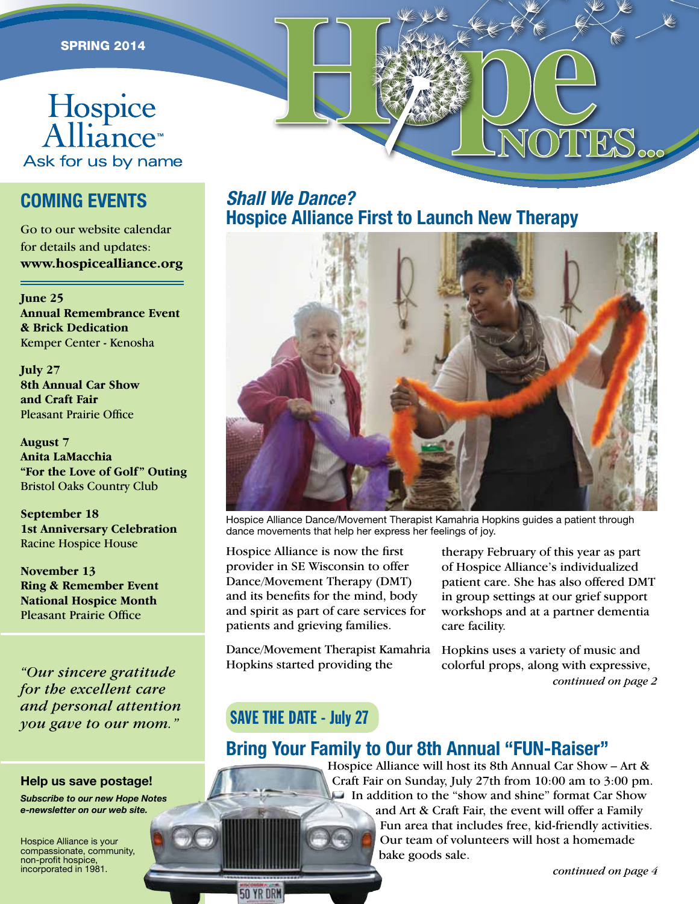# **EPRING 2014**

## **COMING EVENTS**

Go to our website calendar for details and updates: **www.hospicealliance.org**

**June 25 Annual Remembrance Event & Brick Dedication** Kemper Center - Kenosha

**July 27 8th Annual Car Show and Craft Fair** Pleasant Prairie Office

**August 7 Anita LaMacchia "For the Love of Golf" Outing**  Bristol Oaks Country Club

**September 18 1st Anniversary Celebration** Racine Hospice House

**November 13 Ring & Remember Event National Hospice Month** Pleasant Prairie Office

*"Our sincere gratitude for the excellent care and personal attention you gave to our mom."* SAVE THE DATE - July 27

#### **Help us save postage!**

*Subscribe to our new Hope Notes e-newsletter on our web site.* 

Hospice Alliance is your compassionate, community, non-profit hospice, incorporated in 1981.

#### *Shall We Dance?* **Hospice Alliance First to Launch New Therapy**



HOPES.

Hospice Alliance Dance/Movement Therapist Kamahria Hopkins guides a patient through dance movements that help her express her feelings of joy.

Hospice Alliance is now the first provider in SE Wisconsin to offer Dance/Movement Therapy (DMT) and its benefits for the mind, body and spirit as part of care services for patients and grieving families.

Dance/Movement Therapist Kamahria Hopkins started providing the

therapy February of this year as part of Hospice Alliance's individualized patient care. She has also offered DMT in group settings at our grief support workshops and at a partner dementia care facility.

*continued on page 2* Hopkins uses a variety of music and colorful props, along with expressive,

**50 YR DRM** 

### **Bring Your Family to Our 8th Annual "FUN-Raiser"**

Hospice Alliance will host its 8th Annual Car Show – Art & Craft Fair on Sunday, July 27th from 10:00 am to 3:00 pm. In addition to the "show and shine" format Car Show and Art & Craft Fair, the event will offer a Family Fun area that includes free, kid-friendly activities. Our team of volunteers will host a homemade bake goods sale.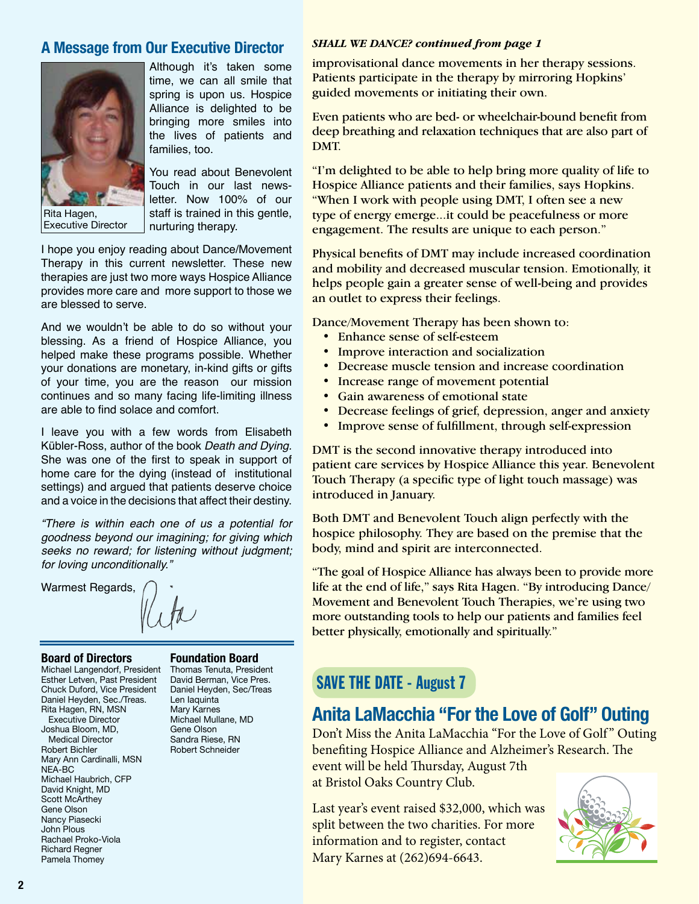#### *SHALL WE DANCE? continued from page 1* **A Message from Our Executive Director**



Rita Hagen, Executive Director

Although it's taken some time, we can all smile that spring is upon us. Hospice Alliance is delighted to be bringing more smiles into the lives of patients and families, too.

You read about Benevolent Touch in our last newsletter. Now 100% of our staff is trained in this gentle, nurturing therapy.

I hope you enjoy reading about Dance/Movement Therapy in this current newsletter. These new therapies are just two more ways Hospice Alliance provides more care and more support to those we are blessed to serve.

And we wouldn't be able to do so without your blessing. As a friend of Hospice Alliance, you helped make these programs possible. Whether your donations are monetary, in-kind gifts or gifts of your time, you are the reason our mission continues and so many facing life-limiting illness are able to find solace and comfort.

I leave you with a few words from Elisabeth Kübler-Ross, author of the book *Death and Dying.* She was one of the first to speak in support of home care for the dying (instead of institutional settings) and argued that patients deserve choice and a voice in the decisions that affect their destiny.

*"There is within each one of us a potential for goodness beyond our imagining; for giving which seeks no reward; for listening without judgment; for loving unconditionally."*

Warmest Regards,

#### **Board of Directors**

Michael Langendorf, President Esther Letven, Past President Chuck Duford, Vice President Daniel Heyden, Sec./Treas. Rita Hagen, RN, MSN Executive Director Joshua Bloom, MD, Medical Director Robert Bichler Mary Ann Cardinalli, MSN NEA-BC Michael Haubrich, CFP David Knight, MD Scott McArthey Gene Olson Nancy Piasecki John Plous Rachael Proko-Viola Richard Regner Pamela Thomey

**Foundation Board**

Thomas Tenuta, President David Berman, Vice Pres. Daniel Heyden, Sec/Treas Len Iaquinta Mary Karnes Michael Mullane, MD Gene Olson Sandra Riese, RN Robert Schneider

improvisational dance movements in her therapy sessions. Patients participate in the therapy by mirroring Hopkins' guided movements or initiating their own.

Even patients who are bed- or wheelchair-bound benefit from deep breathing and relaxation techniques that are also part of DMT.

"I'm delighted to be able to help bring more quality of life to Hospice Alliance patients and their families, says Hopkins. "When I work with people using DMT, I often see a new type of energy emerge...it could be peacefulness or more engagement. The results are unique to each person."

Physical benefits of DMT may include increased coordination and mobility and decreased muscular tension. Emotionally, it helps people gain a greater sense of well-being and provides an outlet to express their feelings.

Dance/Movement Therapy has been shown to:

- Enhance sense of self-esteem
- Improve interaction and socialization
- Decrease muscle tension and increase coordination
- Increase range of movement potential
- Gain awareness of emotional state
- Decrease feelings of grief, depression, anger and anxiety
- Improve sense of fulfillment, through self-expression

DMT is the second innovative therapy introduced into patient care services by Hospice Alliance this year. Benevolent Touch Therapy (a specific type of light touch massage) was introduced in January.

Both DMT and Benevolent Touch align perfectly with the hospice philosophy. They are based on the premise that the body, mind and spirit are interconnected.

"The goal of Hospice Alliance has always been to provide more life at the end of life," says Rita Hagen. "By introducing Dance/ Movement and Benevolent Touch Therapies, we're using two more outstanding tools to help our patients and families feel better physically, emotionally and spiritually."

# SAVE THE DATE - August 7

# **Anita LaMacchia "For the Love of Golf" Outing**

Don't Miss the Anita LaMacchia "For the Love of Golf" Outing benefiting Hospice Alliance and Alzheimer's Research. The event will be held Thursday, August 7th at Bristol Oaks Country Club.

Last year's event raised \$32,000, which was split between the two charities. For more information and to register, contact Mary Karnes at (262)694-6643.

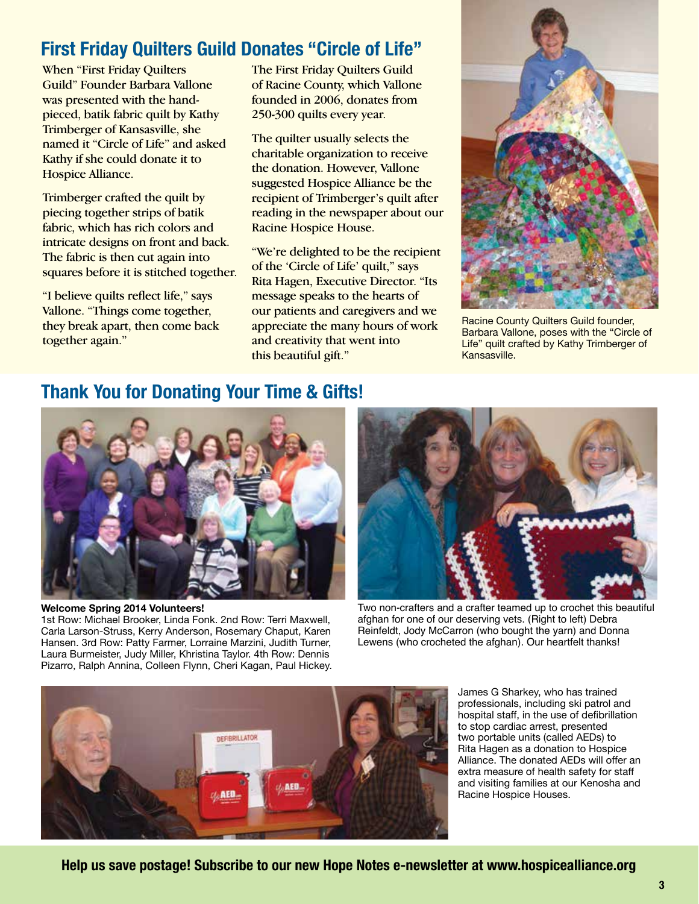# **First Friday Quilters Guild Donates "Circle of Life"**

When "First Friday Quilters Guild" Founder Barbara Vallone was presented with the handpieced, batik fabric quilt by Kathy Trimberger of Kansasville, she named it "Circle of Life" and asked Kathy if she could donate it to Hospice Alliance.

Trimberger crafted the quilt by piecing together strips of batik fabric, which has rich colors and intricate designs on front and back. The fabric is then cut again into squares before it is stitched together.

"I believe quilts reflect life," says Vallone. "Things come together, they break apart, then come back together again."

The First Friday Quilters Guild of Racine County, which Vallone founded in 2006, donates from 250-300 quilts every year.

The quilter usually selects the charitable organization to receive the donation. However, Vallone suggested Hospice Alliance be the recipient of Trimberger's quilt after reading in the newspaper about our Racine Hospice House.

"We're delighted to be the recipient of the 'Circle of Life' quilt," says Rita Hagen, Executive Director. "Its message speaks to the hearts of our patients and caregivers and we appreciate the many hours of work and creativity that went into this beautiful gift."



Racine County Quilters Guild founder, Barbara Vallone, poses with the "Circle of Life" quilt crafted by Kathy Trimberger of Kansasville.

## **Thank You for Donating Your Time & Gifts!**



#### **Welcome Spring 2014 Volunteers!**

1st Row: Michael Brooker, Linda Fonk. 2nd Row: Terri Maxwell, Carla Larson-Struss, Kerry Anderson, Rosemary Chaput, Karen Hansen. 3rd Row: Patty Farmer, Lorraine Marzini, Judith Turner, Laura Burmeister, Judy Miller, Khristina Taylor. 4th Row: Dennis Pizarro, Ralph Annina, Colleen Flynn, Cheri Kagan, Paul Hickey.



Two non-crafters and a crafter teamed up to crochet this beautiful afghan for one of our deserving vets. (Right to left) Debra Reinfeldt, Jody McCarron (who bought the yarn) and Donna Lewens (who crocheted the afghan). Our heartfelt thanks!



James G Sharkey, who has trained professionals, including ski patrol and hospital staff, in the use of defibrillation to stop cardiac arrest, presented two portable units (called AEDs) to Rita Hagen as a donation to Hospice Alliance. The donated AEDs will offer an extra measure of health safety for staff and visiting families at our Kenosha and Racine Hospice Houses.